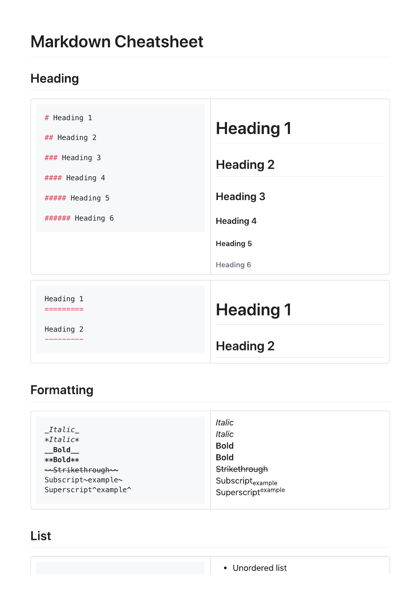# **Markdown Cheatsheet**

# **Heading**

| # Heading 1<br>## Heading 2<br>### Heading 3 | <b>Heading 1</b>                     |  |
|----------------------------------------------|--------------------------------------|--|
| #### Heading 4                               | <b>Heading 2</b>                     |  |
| ##### Heading 5<br>###### Heading 6          | <b>Heading 3</b><br><b>Heading 4</b> |  |
|                                              | <b>Heading 5</b>                     |  |
|                                              | <b>Heading 6</b>                     |  |
| Heading 1<br>========                        | <b>Heading 1</b>                     |  |
| Heading 2                                    | <b>Heading 2</b>                     |  |

# Formatting

| <b>Bold</b><br><b>Bold</b><br><b>Bold</b><br>**Bold**<br>Strikethrough<br>ممstrikethrough سما<br>Subscript~example~<br>Subscript <sub>example</sub><br>Superscript <sup>example</sup><br>Superscript^example^ | $\_It$ alic $\_$<br>$*Italic*$ | <b>Italic</b><br><b>Italic</b> |
|---------------------------------------------------------------------------------------------------------------------------------------------------------------------------------------------------------------|--------------------------------|--------------------------------|
|---------------------------------------------------------------------------------------------------------------------------------------------------------------------------------------------------------------|--------------------------------|--------------------------------|

# List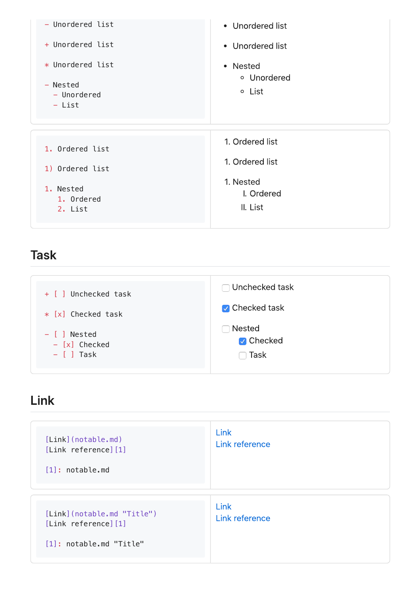

#### **Task**

| + [ ] Unchecked task                                                  | $\Box$ Unchecked task<br><b>V</b> Checked task |
|-----------------------------------------------------------------------|------------------------------------------------|
| $*$ [x] Checked task<br>- [ ] Nested<br>- [x] Checked<br>$-$ [ ] Task | <b>Nested</b><br><b>V</b> Checked<br>Task      |

### Link

| $[Link]$ (notable.md)<br>[Link reference] [1]<br>$[1]$ : notable.md           | Link<br>Link reference        |
|-------------------------------------------------------------------------------|-------------------------------|
| [Link](notable.md "Title")<br>[Link reference] [1]<br>[1]: notable.md "Title" | <b>Link</b><br>Link reference |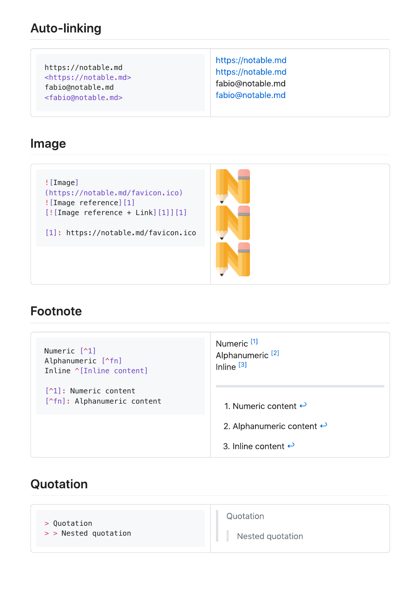#### **Auto-linking**

https://notable.md <https://notable.md> fabio@notable.md <fabio@notable.md>

https://notable.md https://notable.md fabio@notable.md fabio@notable.md

#### Image

![Image] (https://notable.md/favicon.ico) ![Image reference][1] [![Image reference + Link][1]][1]

[1]: https://notable.md/favicon.ico



#### **Footnote**

| Numeric [^1]<br>Alphanumeric [^fn]<br>Inline ^[Inline content] | Numeric <sup>[1]</sup><br>Alphanumeric <sup>[2]</sup><br>Inline $[3]$ |
|----------------------------------------------------------------|-----------------------------------------------------------------------|
| [^1]: Numeric content<br>[^fn]: Alphanumeric content           | 1. Numeric content $\leftrightarrow$                                  |
|                                                                | 2. Alphanumeric content $\leftrightarrow$                             |
|                                                                | 3. Inline content $\leftrightarrow$                                   |

# Quotation

| > Quotation          | Quotation        |
|----------------------|------------------|
| > > Nested quotation | Nested quotation |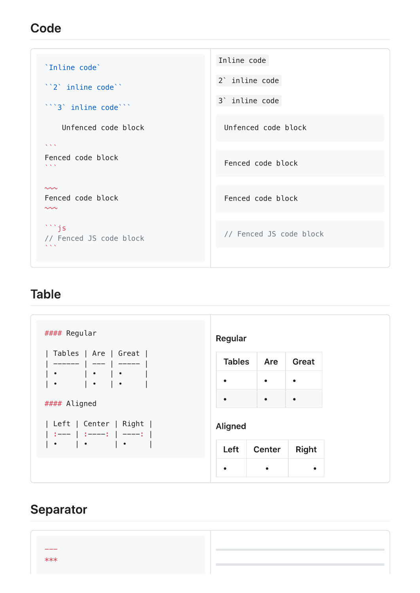### Code

| 'Inline code'                                     | Inline code                |
|---------------------------------------------------|----------------------------|
| "2" inline code"                                  | 2' inline code             |
| ""3" inline code""                                | 3 <sup>'</sup> inline code |
| Unfenced code block                               | Unfenced code block        |
| $\mathbf{v}$ and $\mathbf{v}$                     |                            |
| Fenced code block<br>$\mathbf{v}$ $\mathbf{v}$    | Fenced code block          |
|                                                   |                            |
| $\sim\sim$<br>Fenced code block<br>$\sim\sim\sim$ | Fenced code block          |
|                                                   |                            |
| $\cdots$ js<br>// Fenced JS code block<br>N/N     | // Fenced JS code block    |
|                                                   |                            |

### **Table**

| #### Regular                                         | Regular       |           |           |
|------------------------------------------------------|---------------|-----------|-----------|
| Tables   Are   Great                                 | <b>Tables</b> | Are       | Great     |
| $ \cdot $ $ \cdot $ $ \cdot $                        |               | $\bullet$ | $\bullet$ |
| #### Aligned                                         |               | $\bullet$ | $\bullet$ |
| Left   Center   Right  <br>│ :−−− │ :−−−−: │ -−−−: │ | Aligned       |           |           |
|                                                      | Left          | Center    | Right     |
|                                                      |               | $\bullet$ | $\bullet$ |

# Separator

| $- - - -$ |  |
|-----------|--|
|           |  |
| $***$     |  |
|           |  |
|           |  |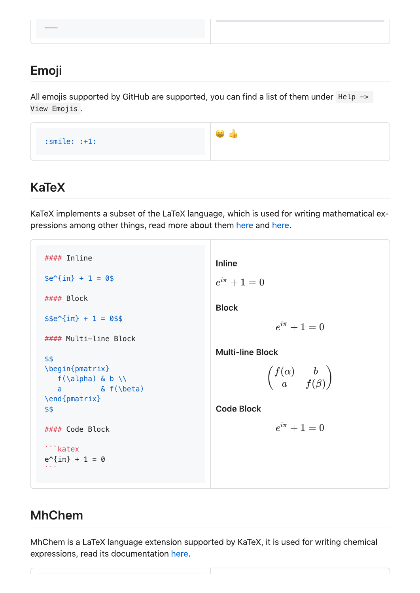# Emoji

All emojis supported by GitHub are supported, you can find a list of them under  $He1p \rightarrow$ View Emojis



# **KaTeX**

KaTeX implements a subset of the LaTeX language, which is used for writing mathematical expressions among other things, read more about them here and here.

```
#### Inline
                                                                                 Inline
\frac{1}{2} \frac{1}{2} \frac{1}{2} \frac{1}{2} \frac{1}{2} \frac{1}{2} \frac{1}{2} \frac{1}{2} \frac{1}{2} \frac{1}{2} \frac{1}{2} \frac{1}{2} \frac{1}{2} \frac{1}{2} \frac{1}{2} \frac{1}{2} \frac{1}{2} \frac{1}{2} \frac{1}{2} \frac{1}{2} \frac{1}{2} \frac{1}{2} e^{i\pi}+1=0#### Block
                                                                                 Block
$e^{4}\pi + 1 = 0$$
                                                                                                              e^{i\pi}+1=0#### Multi-line Block
                                                                                 Multi-line Block
$$
\begin{pmatrix}
                                                                                                             f(α)
                                                                                                                                b
     f(\alpha) & b \wedge\left(f(\beta)a
      a \& f(\beta)
\end{pmatrix}
                                                                                 Code Block
$$
                                                                                                              e^{i\pi}+1=0#### Code Block
```katex
e^{\Lambda}{i\pi} + 1 = 0
\ddot{\phantom{a}}
```
# **MhChem**

MhChem is a LaTeX language extension supported by KaTeX, it is used for writing chemical expressions, read its documentation here.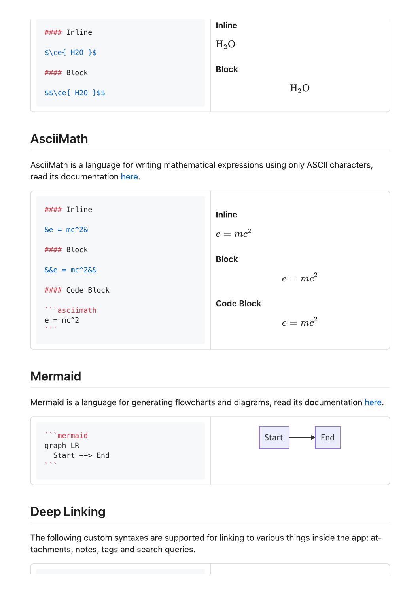| #### Inline                | <b>Inline</b> |
|----------------------------|---------------|
| $\frac{2}{2}$ \ce{ H20 }\$ | $H_2O$        |
|                            | <b>Block</b>  |
| #### Block                 |               |
| $$$ \ce{ H20 }\$\$         | $H_2O$        |

#### **AsciiMath**

AsciiMath is a language for writing mathematical expressions using only ASCII characters, read its documentation here.

#### Inline **Inline**  $\&e = mc^2 2\&$  $e = mc^2$ #### Block **Block**  $&6e = mc^2 266$  $e = mc^2$ #### Code Block **Code Block** ```asciimath  $e = mc^2$  $e = mc^2$ 

### **Mermaid**

Mermaid is a language for generating flowcharts and diagrams, read its documentation here.

| ```mermaid                             | <b>Start</b> |
|----------------------------------------|--------------|
| graph LR<br>Start --> End              | End          |
| $\mathbf{X}$ $\mathbf{X}$ $\mathbf{X}$ |              |

# **Deep Linking**

The following custom syntaxes are supported for linking to various things inside the app: attachments, notes, tags and search queries.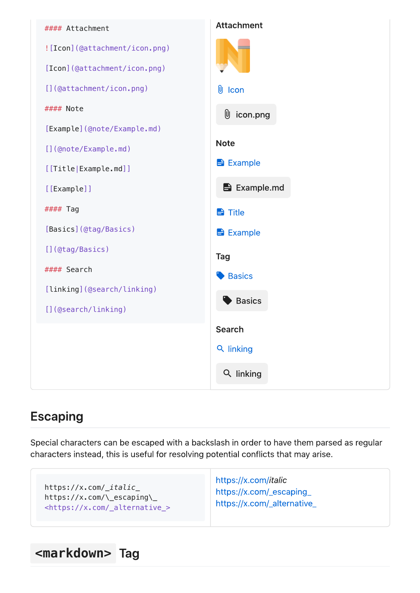

# **Escaping**

Special characters can be escaped with a backslash in order to have them parsed as regular characters instead, this is useful for resolving potential conflicts that may arise.

| https://x.com/_italic_                      | https://x.com/italic        |
|---------------------------------------------|-----------------------------|
| $https://x.com/\cscaping\}$                 | https://x.com/_escaping_    |
| <https: _alternative_="" x.com=""></https:> | https://x.com/_alternative_ |

# **<markdown>**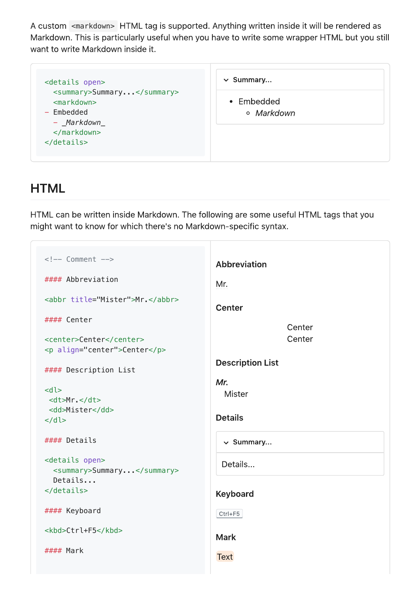A custom <markdown> HTML tag is supported. Anything written inside it will be rendered as Markdown. This is particularly useful when you have to write some wrapper HTML but you still want to write Markdown inside it.

| <details open=""></details>                                                                | $\vee$ Summary           |
|--------------------------------------------------------------------------------------------|--------------------------|
| <summary>Summary</summary><br><markdown><br/>- Embedded<br/>- Markdown<br/></markdown><br> | • Embedded<br>o Markdown |

### **HTML**

HTML can be written inside Markdown. The following are some useful HTML tags that you might want to know for which there's no Markdown-specific syntax.

```
\leq -- Comment -->
                                           Abbreviation
#### Abbreviation
                                           Mr.
<abbr title="Mister">Mr.</abbr>
                                           Center
#### Center
                                                             Center
                                                             Center
<center>Center</center>
<p align="center">Center</p>
                                           Description List
#### Description List
                                           Mr.
<dl>
                                             Mister
  <dt>Mr.</dt>
 <dd>Mister</dd>
                                           Details
\lt/dl#### Details
                                             \vee Summary...
<details open>
                                            Details...
    <summary>Summary...</summary>
    Details...
</details>
                                           Keyboard
#### Keyboard
                                           Ctrl + F5<kbd>Ctrl+F5</kbd>
                                           Mark
#### MarkText
```